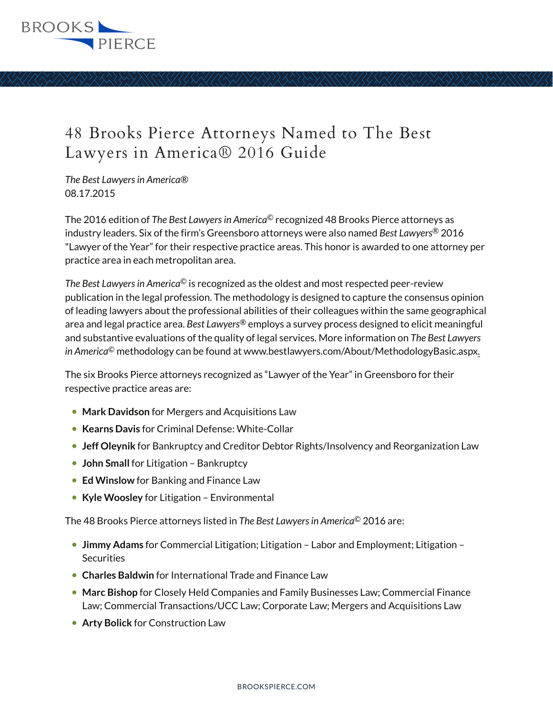

*The Best Lawyers in America®* 08.17.2015

The 2016 edition of *The Best Lawyers in America*© recognized 48 Brooks Pierce attorneys as industry leaders. Six of the firm's Greensboro attorneys were also named *Best Lawyers*® 2016 "Lawyer of the Year" for their respective practice areas. This honor is awarded to one attorney per practice area in each metropolitan area.

*The Best Lawyers in America*© is recognized as the oldest and most respected peer-review publication in the legal profession. The methodology is designed to capture the consensus opinion of leading lawyers about the professional abilities of their colleagues within the same geographical area and legal practice area. *Best Lawyers*® employs a survey process designed to elicit meaningful and substantive evaluations of the quality of legal services. More information on *The Best Lawyers in America*© methodology can be found at www.bestlawyers.com/About/MethodologyBasic.aspx.

The six Brooks Pierce attorneys recognized as "Lawyer of the Year" in Greensboro for their respective practice areas are:

- **Mark Davidson** for Mergers and Acquisitions Law
- **Kearns Davis** for Criminal Defense: White-Collar
- **Jeff Oleynik** for Bankruptcy and Creditor Debtor Rights/Insolvency and Reorganization Law
- **John Small** for Litigation Bankruptcy
- **Ed Winslow** for Banking and Finance Law
- **Kyle Woosley** for Litigation Environmental

The 48 Brooks Pierce attorneys listed in *The Best Lawyers in America*© 2016 are:

- **Jimmy Adams** for Commercial Litigation; Litigation Labor and Employment; Litigation **Securities**
- **Charles Baldwin** for International Trade and Finance Law
- **Marc Bishop** for Closely Held Companies and Family Businesses Law; Commercial Finance Law; Commercial Transactions/UCC Law; Corporate Law; Mergers and Acquisitions Law
- **Arty Bolick** for Construction Law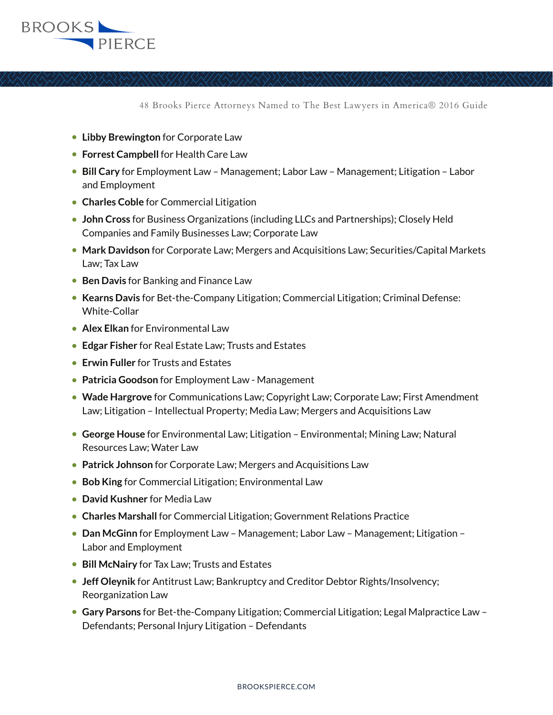

- **Libby Brewington** for Corporate Law
- **Forrest Campbell** for Health Care Law
- **Bill Cary** for Employment Law Management; Labor Law Management; Litigation Labor and Employment
- **Charles Coble** for Commercial Litigation
- **John Cross** for Business Organizations (including LLCs and Partnerships); Closely Held Companies and Family Businesses Law; Corporate Law
- **Mark Davidson** for Corporate Law; Mergers and Acquisitions Law; Securities/Capital Markets Law; Tax Law
- **Ben Davis** for Banking and Finance Law
- **Kearns Davis** for Bet-the-Company Litigation; Commercial Litigation; Criminal Defense: White-Collar
- **Alex Elkan** for Environmental Law
- **Edgar Fisher** for Real Estate Law; Trusts and Estates
- **Erwin Fuller** for Trusts and Estates
- **Patricia Goodson** for Employment Law Management
- **Wade Hargrove** for Communications Law; Copyright Law; Corporate Law; First Amendment Law; Litigation – Intellectual Property; Media Law; Mergers and Acquisitions Law
- **George House** for Environmental Law; Litigation Environmental; Mining Law; Natural Resources Law; Water Law
- **Patrick Johnson** for Corporate Law; Mergers and Acquisitions Law
- **Bob King** for Commercial Litigation; Environmental Law
- **David Kushner** for Media Law
- **Charles Marshall** for Commercial Litigation; Government Relations Practice
- **Dan McGinn** for Employment Law Management; Labor Law Management; Litigation Labor and Employment
- **Bill McNairy** for Tax Law; Trusts and Estates
- **Jeff Oleynik** for Antitrust Law; Bankruptcy and Creditor Debtor Rights/Insolvency; Reorganization Law
- **Gary Parsons** for Bet-the-Company Litigation; Commercial Litigation; Legal Malpractice Law Defendants; Personal Injury Litigation – Defendants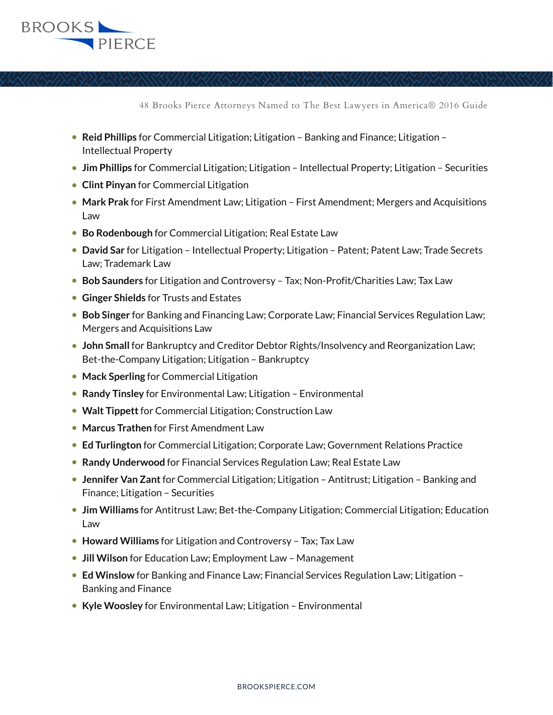

- **Reid Phillips** for Commercial Litigation; Litigation Banking and Finance; Litigation Intellectual Property
- **Jim Phillips** for Commercial Litigation; Litigation Intellectual Property; Litigation Securities
- **Clint Pinyan** for Commercial Litigation
- **Mark Prak** for First Amendment Law; Litigation First Amendment; Mergers and Acquisitions Law
- **Bo Rodenbough** for Commercial Litigation; Real Estate Law
- **David Sar** for Litigation Intellectual Property; Litigation Patent; Patent Law; Trade Secrets Law; Trademark Law
- **Bob Saunders** for Litigation and Controversy Tax; Non-Profit/Charities Law; Tax Law
- **Ginger Shields** for Trusts and Estates
- **Bob Singer** for Banking and Financing Law; Corporate Law; Financial Services Regulation Law; Mergers and Acquisitions Law
- **John Small** for Bankruptcy and Creditor Debtor Rights/Insolvency and Reorganization Law; Bet-the-Company Litigation; Litigation – Bankruptcy
- **Mack Sperling** for Commercial Litigation
- **Randy Tinsley** for Environmental Law; Litigation Environmental
- **Walt Tippett** for Commercial Litigation; Construction Law
- **Marcus Trathen** for First Amendment Law
- **Ed Turlington** for Commercial Litigation; Corporate Law; Government Relations Practice
- **Randy Underwood** for Financial Services Regulation Law; Real Estate Law
- **Jennifer Van Zant** for Commercial Litigation; Litigation Antitrust; Litigation Banking and Finance; Litigation – Securities
- **Jim Williams** for Antitrust Law; Bet-the-Company Litigation; Commercial Litigation; Education Law
- **Howard Williams** for Litigation and Controversy Tax; Tax Law
- **Jill Wilson** for Education Law; Employment Law Management
- **Ed Winslow** for Banking and Finance Law; Financial Services Regulation Law; Litigation Banking and Finance
- **Kyle Woosley** for Environmental Law; Litigation Environmental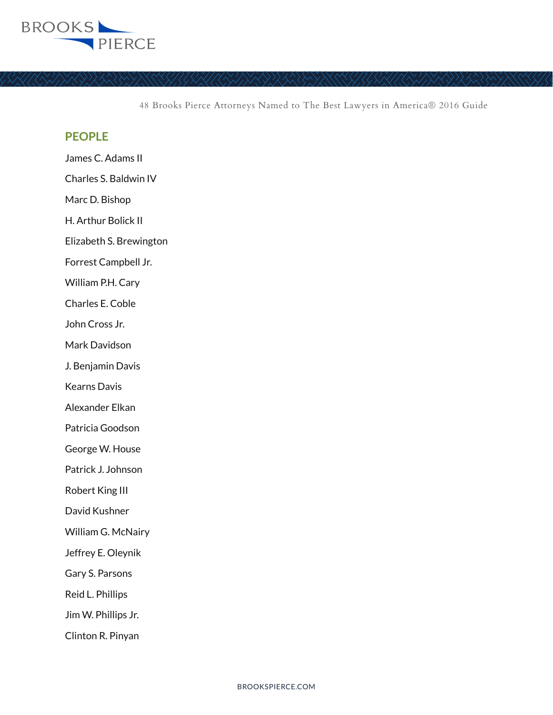

## **PEOPLE**

James C. Adams II Charles S. Baldwin IV Marc D. Bishop H. Arthur Bolick II Elizabeth S. Brewington Forrest Campbell Jr. William P.H. Cary Charles E. Coble John Cross Jr. Mark Davidson J. Benjamin Davis Kearns Davis Alexander Elkan Patricia Goodson George W. House Patrick J. Johnson Robert King III David Kushner William G. McNairy Jeffrey E. Oleynik Gary S. Parsons Reid L. Phillips Jim W. Phillips Jr. Clinton R. Pinyan